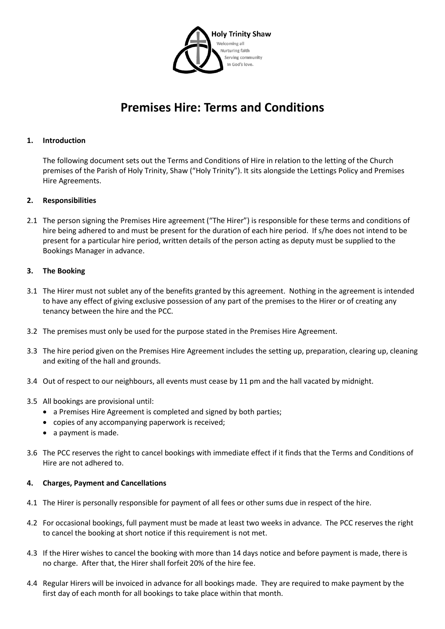

# **Premises Hire: Terms and Conditions**

## **1. Introduction**

The following document sets out the Terms and Conditions of Hire in relation to the letting of the Church premises of the Parish of Holy Trinity, Shaw ("Holy Trinity"). It sits alongside the Lettings Policy and Premises Hire Agreements.

## **2. Responsibilities**

2.1 The person signing the Premises Hire agreement ("The Hirer") is responsible for these terms and conditions of hire being adhered to and must be present for the duration of each hire period. If s/he does not intend to be present for a particular hire period, written details of the person acting as deputy must be supplied to the Bookings Manager in advance.

## **3. The Booking**

- 3.1 The Hirer must not sublet any of the benefits granted by this agreement. Nothing in the agreement is intended to have any effect of giving exclusive possession of any part of the premises to the Hirer or of creating any tenancy between the hire and the PCC.
- 3.2 The premises must only be used for the purpose stated in the Premises Hire Agreement.
- 3.3 The hire period given on the Premises Hire Agreement includes the setting up, preparation, clearing up, cleaning and exiting of the hall and grounds.
- 3.4 Out of respect to our neighbours, all events must cease by 11 pm and the hall vacated by midnight.
- 3.5 All bookings are provisional until:
	- a Premises Hire Agreement is completed and signed by both parties;
	- copies of any accompanying paperwork is received;
	- a payment is made.
- 3.6 The PCC reserves the right to cancel bookings with immediate effect if it finds that the Terms and Conditions of Hire are not adhered to.

#### **4. Charges, Payment and Cancellations**

- 4.1 The Hirer is personally responsible for payment of all fees or other sums due in respect of the hire.
- 4.2 For occasional bookings, full payment must be made at least two weeks in advance. The PCC reserves the right to cancel the booking at short notice if this requirement is not met.
- 4.3 If the Hirer wishes to cancel the booking with more than 14 days notice and before payment is made, there is no charge. After that, the Hirer shall forfeit 20% of the hire fee.
- 4.4 Regular Hirers will be invoiced in advance for all bookings made. They are required to make payment by the first day of each month for all bookings to take place within that month.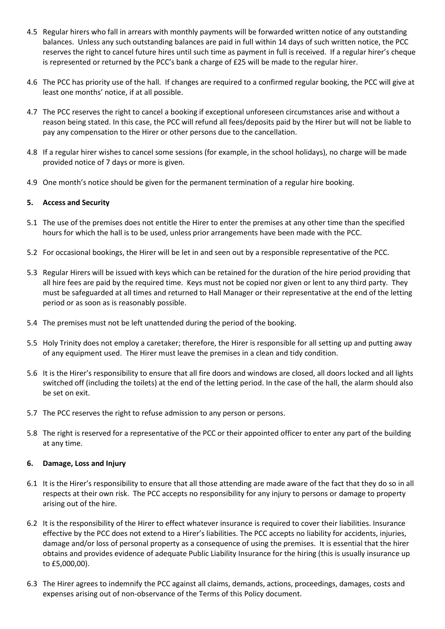- 4.5 Regular hirers who fall in arrears with monthly payments will be forwarded written notice of any outstanding balances. Unless any such outstanding balances are paid in full within 14 days of such written notice, the PCC reserves the right to cancel future hires until such time as payment in full is received. If a regular hirer's cheque is represented or returned by the PCC's bank a charge of £25 will be made to the regular hirer.
- 4.6 The PCC has priority use of the hall. If changes are required to a confirmed regular booking, the PCC will give at least one months' notice, if at all possible.
- 4.7 The PCC reserves the right to cancel a booking if exceptional unforeseen circumstances arise and without a reason being stated. In this case, the PCC will refund all fees/deposits paid by the Hirer but will not be liable to pay any compensation to the Hirer or other persons due to the cancellation.
- 4.8 If a regular hirer wishes to cancel some sessions (for example, in the school holidays), no charge will be made provided notice of 7 days or more is given.
- 4.9 One month's notice should be given for the permanent termination of a regular hire booking.

## **5. Access and Security**

- 5.1 The use of the premises does not entitle the Hirer to enter the premises at any other time than the specified hours for which the hall is to be used, unless prior arrangements have been made with the PCC.
- 5.2 For occasional bookings, the Hirer will be let in and seen out by a responsible representative of the PCC.
- 5.3 Regular Hirers will be issued with keys which can be retained for the duration of the hire period providing that all hire fees are paid by the required time. Keys must not be copied nor given or lent to any third party. They must be safeguarded at all times and returned to Hall Manager or their representative at the end of the letting period or as soon as is reasonably possible.
- 5.4 The premises must not be left unattended during the period of the booking.
- 5.5 Holy Trinity does not employ a caretaker; therefore, the Hirer is responsible for all setting up and putting away of any equipment used. The Hirer must leave the premises in a clean and tidy condition.
- 5.6 It is the Hirer's responsibility to ensure that all fire doors and windows are closed, all doors locked and all lights switched off (including the toilets) at the end of the letting period. In the case of the hall, the alarm should also be set on exit.
- 5.7 The PCC reserves the right to refuse admission to any person or persons.
- 5.8 The right is reserved for a representative of the PCC or their appointed officer to enter any part of the building at any time.

#### **6. Damage, Loss and Injury**

- 6.1 It is the Hirer's responsibility to ensure that all those attending are made aware of the fact that they do so in all respects at their own risk. The PCC accepts no responsibility for any injury to persons or damage to property arising out of the hire.
- 6.2 It is the responsibility of the Hirer to effect whatever insurance is required to cover their liabilities. Insurance effective by the PCC does not extend to a Hirer's liabilities. The PCC accepts no liability for accidents, injuries, damage and/or loss of personal property as a consequence of using the premises. It is essential that the hirer obtains and provides evidence of adequate Public Liability Insurance for the hiring (this is usually insurance up to £5,000,00).
- 6.3 The Hirer agrees to indemnify the PCC against all claims, demands, actions, proceedings, damages, costs and expenses arising out of non-observance of the Terms of this Policy document.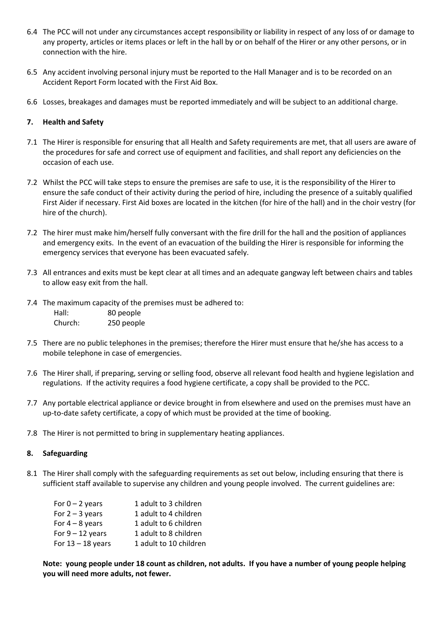- 6.4 The PCC will not under any circumstances accept responsibility or liability in respect of any loss of or damage to any property, articles or items places or left in the hall by or on behalf of the Hirer or any other persons, or in connection with the hire.
- 6.5 Any accident involving personal injury must be reported to the Hall Manager and is to be recorded on an Accident Report Form located with the First Aid Box.
- 6.6 Losses, breakages and damages must be reported immediately and will be subject to an additional charge.

## **7. Health and Safety**

- 7.1 The Hirer is responsible for ensuring that all Health and Safety requirements are met, that all users are aware of the procedures for safe and correct use of equipment and facilities, and shall report any deficiencies on the occasion of each use.
- 7.2 Whilst the PCC will take steps to ensure the premises are safe to use, it is the responsibility of the Hirer to ensure the safe conduct of their activity during the period of hire, including the presence of a suitably qualified First Aider if necessary. First Aid boxes are located in the kitchen (for hire of the hall) and in the choir vestry (for hire of the church).
- 7.2 The hirer must make him/herself fully conversant with the fire drill for the hall and the position of appliances and emergency exits. In the event of an evacuation of the building the Hirer is responsible for informing the emergency services that everyone has been evacuated safely.
- 7.3 All entrances and exits must be kept clear at all times and an adequate gangway left between chairs and tables to allow easy exit from the hall.
- 7.4 The maximum capacity of the premises must be adhered to: Hall: 80 people Church: 250 people
- 7.5 There are no public telephones in the premises; therefore the Hirer must ensure that he/she has access to a mobile telephone in case of emergencies.
- 7.6 The Hirer shall, if preparing, serving or selling food, observe all relevant food health and hygiene legislation and regulations. If the activity requires a food hygiene certificate, a copy shall be provided to the PCC.
- 7.7 Any portable electrical appliance or device brought in from elsewhere and used on the premises must have an up-to-date safety certificate, a copy of which must be provided at the time of booking.
- 7.8 The Hirer is not permitted to bring in supplementary heating appliances.

#### **8. Safeguarding**

8.1 The Hirer shall comply with the safeguarding requirements as set out below, including ensuring that there is sufficient staff available to supervise any children and young people involved. The current guidelines are:

| For $0 - 2$ years   | 1 adult to 3 children  |
|---------------------|------------------------|
| For $2 - 3$ years   | 1 adult to 4 children  |
| For $4 - 8$ years   | 1 adult to 6 children  |
| For $9 - 12$ years  | 1 adult to 8 children  |
| For $13 - 18$ years | 1 adult to 10 children |

**Note: young people under 18 count as children, not adults. If you have a number of young people helping you will need more adults, not fewer.**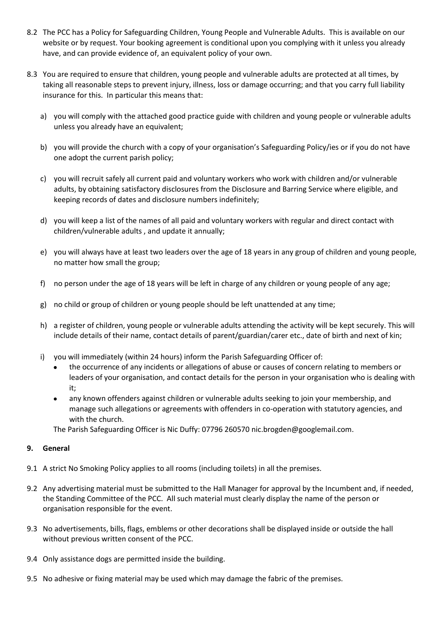- 8.2 The PCC has a Policy for Safeguarding Children, Young People and Vulnerable Adults. This is available on our website or by request. Your booking agreement is conditional upon you complying with it unless you already have, and can provide evidence of, an equivalent policy of your own.
- 8.3 You are required to ensure that children, young people and vulnerable adults are protected at all times, by taking all reasonable steps to prevent injury, illness, loss or damage occurring; and that you carry full liability insurance for this. In particular this means that:
	- a) you will comply with the attached good practice guide with children and young people or vulnerable adults unless you already have an equivalent;
	- b) you will provide the church with a copy of your organisation's Safeguarding Policy/ies or if you do not have one adopt the current parish policy;
	- c) you will recruit safely all current paid and voluntary workers who work with children and/or vulnerable adults, by obtaining satisfactory disclosures from the Disclosure and Barring Service where eligible, and keeping records of dates and disclosure numbers indefinitely;
	- d) you will keep a list of the names of all paid and voluntary workers with regular and direct contact with children/vulnerable adults , and update it annually;
	- e) you will always have at least two leaders over the age of 18 years in any group of children and young people, no matter how small the group;
	- f) no person under the age of 18 years will be left in charge of any children or young people of any age;
	- g) no child or group of children or young people should be left unattended at any time;
	- h) a register of children, young people or vulnerable adults attending the activity will be kept securely. This will include details of their name, contact details of parent/guardian/carer etc., date of birth and next of kin;
	- i) you will immediately (within 24 hours) inform the Parish Safeguarding Officer of:
		- the occurrence of any incidents or allegations of abuse or causes of concern relating to members or leaders of your organisation, and contact details for the person in your organisation who is dealing with it;
		- any known offenders against children or vulnerable adults seeking to join your membership, and manage such allegations or agreements with offenders in co-operation with statutory agencies, and with the church.
		- The Parish Safeguarding Officer is Nic Duffy: 07796 260570 nic.brogden@googlemail.com.

#### **9. General**

- 9.1 A strict No Smoking Policy applies to all rooms (including toilets) in all the premises.
- 9.2 Any advertising material must be submitted to the Hall Manager for approval by the Incumbent and, if needed, the Standing Committee of the PCC. All such material must clearly display the name of the person or organisation responsible for the event.
- 9.3 No advertisements, bills, flags, emblems or other decorations shall be displayed inside or outside the hall without previous written consent of the PCC.
- 9.4 Only assistance dogs are permitted inside the building.
- 9.5 No adhesive or fixing material may be used which may damage the fabric of the premises.